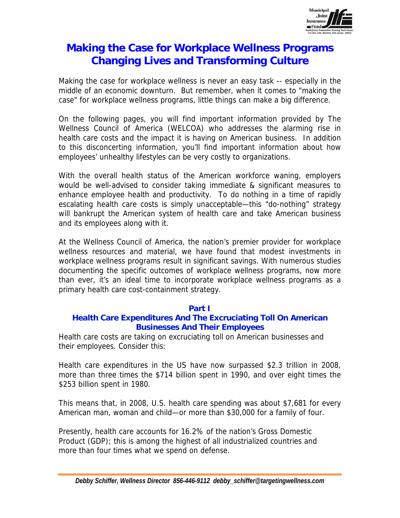

# **Making the Case for Workplace Wellness Programs Changing Lives and Transforming Culture**

Making the case for workplace wellness is never an easy task -- especially in the middle of an economic downturn. But remember, when it comes to "making the case" for workplace wellness programs, little things can make a big difference.

On the following pages, you will find important information provided by The Wellness Council of America (WELCOA) who addresses the alarming rise in health care costs and the impact it is having on American business. In addition to this disconcerting information, you'll find important information about how employees' unhealthy lifestyles can be very costly to organizations.

With the overall health status of the American workforce waning, employers would be well-advised to consider taking immediate & significant measures to enhance employee health and productivity. To do nothing in a time of rapidly escalating health care costs is simply unacceptable—this "do-nothing" strategy will bankrupt the American system of health care and take American business and its employees along with it.

At the Wellness Council of America, the nation's premier provider for workplace wellness resources and material, we have found that modest investments in workplace wellness programs result in significant savings. With numerous studies documenting the specific outcomes of workplace wellness programs, now more than ever, it's an ideal time to incorporate workplace wellness programs as a primary health care cost-containment strategy.

# **Part I**

# **Health Care Expenditures And The Excruciating Toll On American Businesses And Their Employees**

Health care costs are taking on excruciating toll on American businesses and their employees. Consider this:

Health care expenditures in the US have now surpassed \$2.3 trillion in 2008, more than three times the \$714 billion spent in 1990, and over eight times the \$253 billion spent in 1980.

This means that, in 2008, U.S. health care spending was about \$7,681 for every American man, woman and child—or more than \$30,000 for a family of four.

Presently, health care accounts for 16.2% of the nation's Gross Domestic Product (GDP); this is among the highest of all industrialized countries and more than four times what we spend on defense.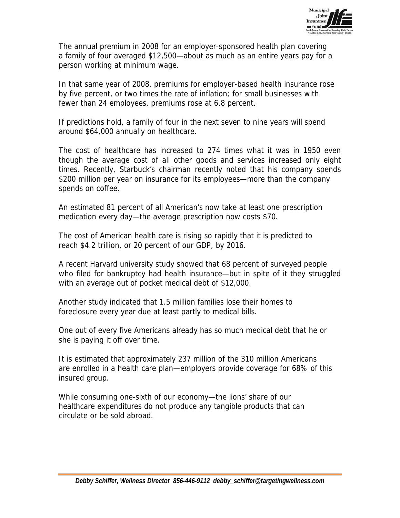

The annual premium in 2008 for an employer-sponsored health plan covering a family of four averaged \$12,500—about as much as an entire years pay for a person working at minimum wage.

In that same year of 2008, premiums for employer-based health insurance rose by five percent, or two times the rate of inflation; for small businesses with fewer than 24 employees, premiums rose at 6.8 percent.

If predictions hold, a family of four in the next seven to nine years will spend around \$64,000 annually on healthcare.

The cost of healthcare has increased to 274 times what it was in 1950 even though the average cost of all other goods and services increased only eight times. Recently, Starbuck's chairman recently noted that his company spends \$200 million per year on insurance for its employees—more than the company spends on coffee.

An estimated 81 percent of all American's now take at least one prescription medication every day—the average prescription now costs \$70.

The cost of American health care is rising so rapidly that it is predicted to reach \$4.2 trillion, or 20 percent of our GDP, by 2016.

A recent Harvard university study showed that 68 percent of surveyed people who filed for bankruptcy had health insurance—but in spite of it they struggled with an average out of pocket medical debt of \$12,000.

Another study indicated that 1.5 million families lose their homes to foreclosure every year due at least partly to medical bills.

One out of every five Americans already has so much medical debt that he or she is paying it off over time.

It is estimated that approximately 237 million of the 310 million Americans are enrolled in a health care plan—employers provide coverage for 68% of this insured group.

While consuming one-sixth of our economy—the lions' share of our healthcare expenditures do not produce any tangible products that can circulate or be sold abroad.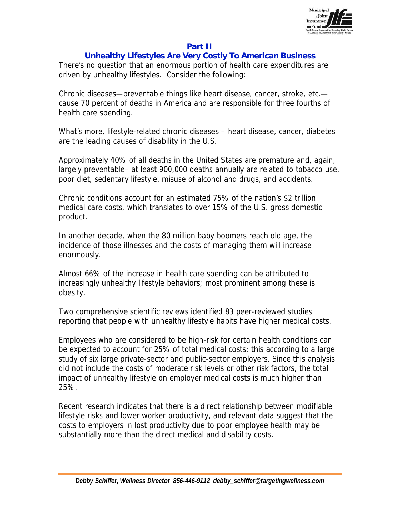

# **Part II**

## **Unhealthy Lifestyles Are Very Costly To American Business**

There's no question that an enormous portion of health care expenditures are driven by unhealthy lifestyles. Consider the following:

Chronic diseases—preventable things like heart disease, cancer, stroke, etc. cause 70 percent of deaths in America and are responsible for three fourths of health care spending.

What's more, lifestyle-related chronic diseases – heart disease, cancer, diabetes are the leading causes of disability in the U.S.

Approximately 40% of all deaths in the United States are premature and, again, largely preventable– at least 900,000 deaths annually are related to tobacco use, poor diet, sedentary lifestyle, misuse of alcohol and drugs, and accidents.

Chronic conditions account for an estimated 75% of the nation's \$2 trillion medical care costs, which translates to over 15% of the U.S. gross domestic product.

In another decade, when the 80 million baby boomers reach old age, the incidence of those illnesses and the costs of managing them will increase enormously.

Almost 66% of the increase in health care spending can be attributed to increasingly unhealthy lifestyle behaviors; most prominent among these is obesity.

Two comprehensive scientific reviews identified 83 peer-reviewed studies reporting that people with unhealthy lifestyle habits have higher medical costs.

Employees who are considered to be high-risk for certain health conditions can be expected to account for 25% of total medical costs; this according to a large study of six large private-sector and public-sector employers. Since this analysis did not include the costs of moderate risk levels or other risk factors, the total impact of unhealthy lifestyle on employer medical costs is much higher than 25%.

Recent research indicates that there is a direct relationship between modifiable lifestyle risks and lower worker productivity, and relevant data suggest that the costs to employers in lost productivity due to poor employee health may be substantially more than the direct medical and disability costs.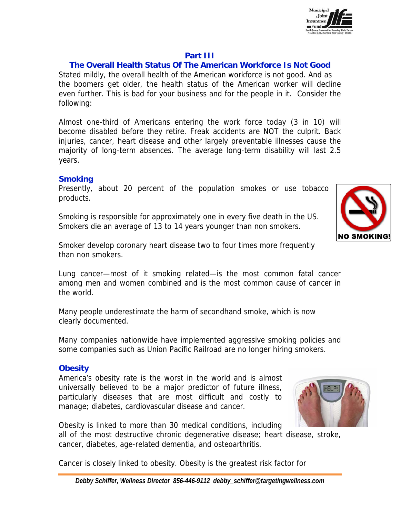

### **Part III**

## **The Overall Health Status Of The American Workforce Is Not Good**

Stated mildly, the overall health of the American workforce is not good. And as the boomers get older, the health status of the American worker will decline even further. This is bad for your business and for the people in it. Consider the following:

Almost one-third of Americans entering the work force today (3 in 10) will become disabled before they retire. Freak accidents are NOT the culprit. Back injuries, cancer, heart disease and other largely preventable illnesses cause the majority of long-term absences. The average long-term disability will last 2.5 years.

#### **Smoking**

Presently, about 20 percent of the population smokes or use tobacco products.

Smoking is responsible for approximately one in every five death in the US. Smokers die an average of 13 to 14 years younger than non smokers.



Smoker develop coronary heart disease two to four times more frequently than non smokers.

Lung cancer—most of it smoking related—is the most common fatal cancer among men and women combined and is the most common cause of cancer in the world.

Many people underestimate the harm of secondhand smoke, which is now clearly documented.

Many companies nationwide have implemented aggressive smoking policies and some companies such as Union Pacific Railroad are no longer hiring smokers.

#### **Obesity**

America's obesity rate is the worst in the world and is almost universally believed to be a major predictor of future illness, particularly diseases that are most difficult and costly to manage; diabetes, cardiovascular disease and cancer.



Obesity is linked to more than 30 medical conditions, including

all of the most destructive chronic degenerative disease; heart disease, stroke, cancer, diabetes, age-related dementia, and osteoarthritis.

Cancer is closely linked to obesity. Obesity is the greatest risk factor for